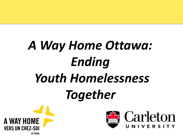# *A Way Home Ottawa: Ending Youth Homelessness Together*



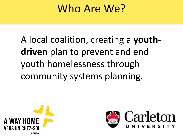#### Who Are We?

A local coalition, creating a **youthdriven** plan to prevent and end youth homelessness through community systems planning.



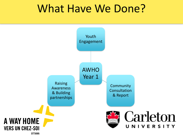#### What Have We Done?

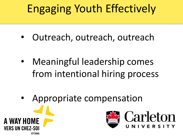# Engaging Youth Effectively

- Outreach, outreach, outreach
- Meaningful leadership comes from intentional hiring process
- Appropriate compensationCarleton A WAY HOME **VERS IIN CHEZ-SI**

**OTTAWA**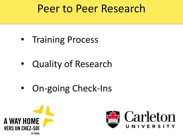#### Peer to Peer Research

- Training Process
- Quality of Research
- On-going Check-Ins



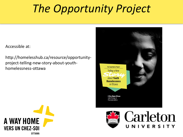# *The Opportunity Project*

Accessible at:

http://homelesshub.ca/resource/opportunityproject-telling-new-story-about-youthhomelessness-ottawa





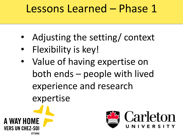## Lessons Learned – Phase 1

- Adjusting the setting/ context
- Flexibility is key!
- Value of having expertise on both ends – people with lived experience and research expertise



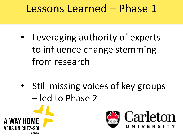## Lessons Learned – Phase 1

Leveraging authority of experts to influence change stemming from research

• Still missing voices of key groups – led to Phase 2



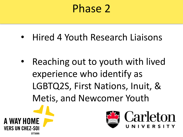#### Phase 2

• Hired 4 Youth Research Liaisons

Reaching out to youth with lived experience who identify as LGBTQ2S, First Nations, Inuit, & Metis, and Newcomer Youth



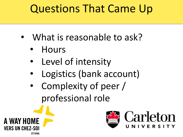## Questions That Came Up

- What is reasonable to ask?
	- Hours
	- Level of intensity
	- Logistics (bank account)
	- Complexity of peer / professional role



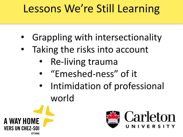# Lessons We're Still Learning

- Grappling with intersectionality
- Taking the risks into account
	- Re-living trauma
	- "Emeshed-ness" of it
	- Intimidation of professional world



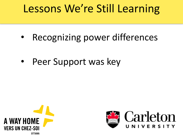## Lessons We're Still Learning

- Recognizing power differences
- Peer Support was key